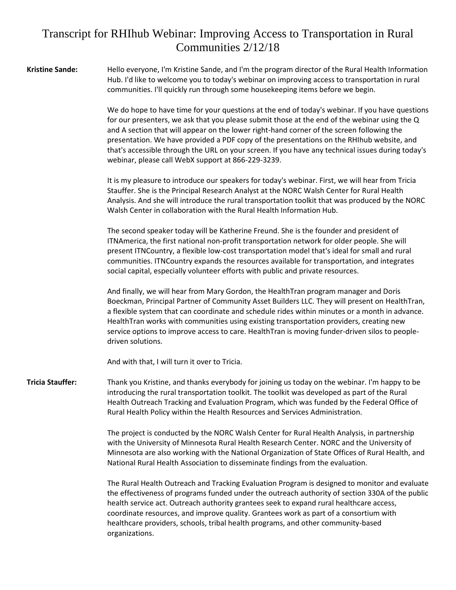## Transcript for RHIhub Webinar: Improving Access to Transportation in Rural Communities 2/12/18

**Kristine Sande:** Hello everyone, I'm Kristine Sande, and I'm the program director of the Rural Health Information Hub. I'd like to welcome you to today's webinar on improving access to transportation in rural communities. I'll quickly run through some housekeeping items before we begin.

> We do hope to have time for your questions at the end of today's webinar. If you have questions for our presenters, we ask that you please submit those at the end of the webinar using the Q and A section that will appear on the lower right-hand corner of the screen following the presentation. We have provided a PDF copy of the presentations on the RHIhub website, and that's accessible through the URL on your screen. If you have any technical issues during today's webinar, please call WebX support at 866-229-3239.

It is my pleasure to introduce our speakers for today's webinar. First, we will hear from Tricia Stauffer. She is the Principal Research Analyst at the NORC Walsh Center for Rural Health Analysis. And she will introduce the rural transportation toolkit that was produced by the NORC Walsh Center in collaboration with the Rural Health Information Hub.

The second speaker today will be Katherine Freund. She is the founder and president of ITNAmerica, the first national non-profit transportation network for older people. She will present ITNCountry, a flexible low-cost transportation model that's ideal for small and rural communities. ITNCountry expands the resources available for transportation, and integrates social capital, especially volunteer efforts with public and private resources.

And finally, we will hear from Mary Gordon, the HealthTran program manager and Doris Boeckman, Principal Partner of Community Asset Builders LLC. They will present on HealthTran, a flexible system that can coordinate and schedule rides within minutes or a month in advance. HealthTran works with communities using existing transportation providers, creating new service options to improve access to care. HealthTran is moving funder-driven silos to peopledriven solutions.

And with that, I will turn it over to Tricia.

**Tricia Stauffer:** Thank you Kristine, and thanks everybody for joining us today on the webinar. I'm happy to be introducing the rural transportation toolkit. The toolkit was developed as part of the Rural Health Outreach Tracking and Evaluation Program, which was funded by the Federal Office of Rural Health Policy within the Health Resources and Services Administration.

> The project is conducted by the NORC Walsh Center for Rural Health Analysis, in partnership with the University of Minnesota Rural Health Research Center. NORC and the University of Minnesota are also working with the National Organization of State Offices of Rural Health, and National Rural Health Association to disseminate findings from the evaluation.

The Rural Health Outreach and Tracking Evaluation Program is designed to monitor and evaluate the effectiveness of programs funded under the outreach authority of section 330A of the public health service act. Outreach authority grantees seek to expand rural healthcare access, coordinate resources, and improve quality. Grantees work as part of a consortium with healthcare providers, schools, tribal health programs, and other community-based organizations.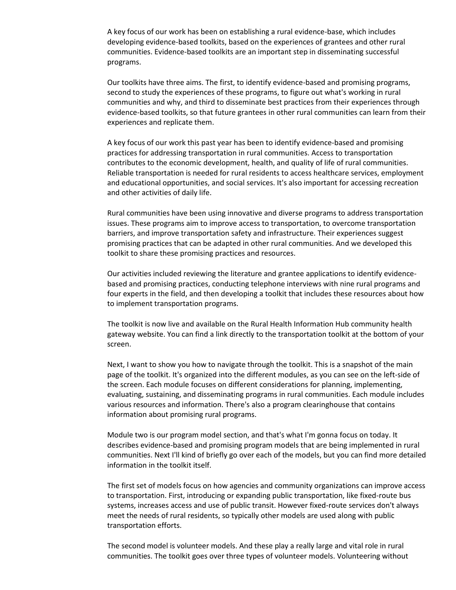A key focus of our work has been on establishing a rural evidence-base, which includes developing evidence-based toolkits, based on the experiences of grantees and other rural communities. Evidence-based toolkits are an important step in disseminating successful programs.

Our toolkits have three aims. The first, to identify evidence-based and promising programs, second to study the experiences of these programs, to figure out what's working in rural communities and why, and third to disseminate best practices from their experiences through evidence-based toolkits, so that future grantees in other rural communities can learn from their experiences and replicate them.

A key focus of our work this past year has been to identify evidence-based and promising practices for addressing transportation in rural communities. Access to transportation contributes to the economic development, health, and quality of life of rural communities. Reliable transportation is needed for rural residents to access healthcare services, employment and educational opportunities, and social services. It's also important for accessing recreation and other activities of daily life.

Rural communities have been using innovative and diverse programs to address transportation issues. These programs aim to improve access to transportation, to overcome transportation barriers, and improve transportation safety and infrastructure. Their experiences suggest promising practices that can be adapted in other rural communities. And we developed this toolkit to share these promising practices and resources.

Our activities included reviewing the literature and grantee applications to identify evidencebased and promising practices, conducting telephone interviews with nine rural programs and four experts in the field, and then developing a toolkit that includes these resources about how to implement transportation programs.

The toolkit is now live and available on the Rural Health Information Hub community health gateway website. You can find a link directly to the transportation toolkit at the bottom of your screen.

Next, I want to show you how to navigate through the toolkit. This is a snapshot of the main page of the toolkit. It's organized into the different modules, as you can see on the left-side of the screen. Each module focuses on different considerations for planning, implementing, evaluating, sustaining, and disseminating programs in rural communities. Each module includes various resources and information. There's also a program clearinghouse that contains information about promising rural programs.

Module two is our program model section, and that's what I'm gonna focus on today. It describes evidence-based and promising program models that are being implemented in rural communities. Next I'll kind of briefly go over each of the models, but you can find more detailed information in the toolkit itself.

The first set of models focus on how agencies and community organizations can improve access to transportation. First, introducing or expanding public transportation, like fixed-route bus systems, increases access and use of public transit. However fixed-route services don't always meet the needs of rural residents, so typically other models are used along with public transportation efforts.

The second model is volunteer models. And these play a really large and vital role in rural communities. The toolkit goes over three types of volunteer models. Volunteering without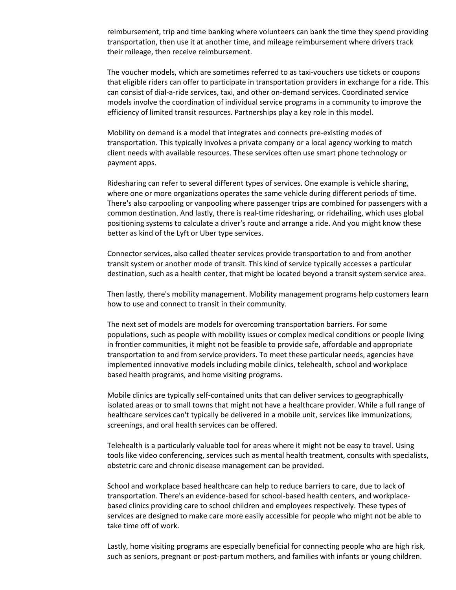reimbursement, trip and time banking where volunteers can bank the time they spend providing transportation, then use it at another time, and mileage reimbursement where drivers track their mileage, then receive reimbursement.

The voucher models, which are sometimes referred to as taxi-vouchers use tickets or coupons that eligible riders can offer to participate in transportation providers in exchange for a ride. This can consist of dial-a-ride services, taxi, and other on-demand services. Coordinated service models involve the coordination of individual service programs in a community to improve the efficiency of limited transit resources. Partnerships play a key role in this model.

Mobility on demand is a model that integrates and connects pre-existing modes of transportation. This typically involves a private company or a local agency working to match client needs with available resources. These services often use smart phone technology or payment apps.

Ridesharing can refer to several different types of services. One example is vehicle sharing, where one or more organizations operates the same vehicle during different periods of time. There's also carpooling or vanpooling where passenger trips are combined for passengers with a common destination. And lastly, there is real-time ridesharing, or ridehailing, which uses global positioning systems to calculate a driver's route and arrange a ride. And you might know these better as kind of the Lyft or Uber type services.

Connector services, also called theater services provide transportation to and from another transit system or another mode of transit. This kind of service typically accesses a particular destination, such as a health center, that might be located beyond a transit system service area.

Then lastly, there's mobility management. Mobility management programs help customers learn how to use and connect to transit in their community.

The next set of models are models for overcoming transportation barriers. For some populations, such as people with mobility issues or complex medical conditions or people living in frontier communities, it might not be feasible to provide safe, affordable and appropriate transportation to and from service providers. To meet these particular needs, agencies have implemented innovative models including mobile clinics, telehealth, school and workplace based health programs, and home visiting programs.

Mobile clinics are typically self-contained units that can deliver services to geographically isolated areas or to small towns that might not have a healthcare provider. While a full range of healthcare services can't typically be delivered in a mobile unit, services like immunizations, screenings, and oral health services can be offered.

Telehealth is a particularly valuable tool for areas where it might not be easy to travel. Using tools like video conferencing, services such as mental health treatment, consults with specialists, obstetric care and chronic disease management can be provided.

School and workplace based healthcare can help to reduce barriers to care, due to lack of transportation. There's an evidence-based for school-based health centers, and workplacebased clinics providing care to school children and employees respectively. These types of services are designed to make care more easily accessible for people who might not be able to take time off of work.

Lastly, home visiting programs are especially beneficial for connecting people who are high risk, such as seniors, pregnant or post-partum mothers, and families with infants or young children.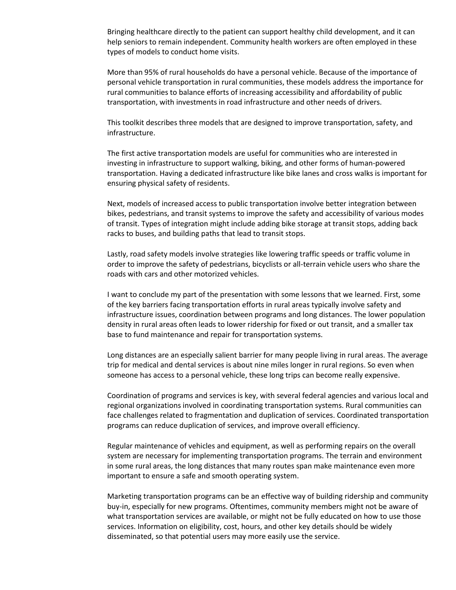Bringing healthcare directly to the patient can support healthy child development, and it can help seniors to remain independent. Community health workers are often employed in these types of models to conduct home visits.

More than 95% of rural households do have a personal vehicle. Because of the importance of personal vehicle transportation in rural communities, these models address the importance for rural communities to balance efforts of increasing accessibility and affordability of public transportation, with investments in road infrastructure and other needs of drivers.

This toolkit describes three models that are designed to improve transportation, safety, and infrastructure.

The first active transportation models are useful for communities who are interested in investing in infrastructure to support walking, biking, and other forms of human-powered transportation. Having a dedicated infrastructure like bike lanes and cross walks is important for ensuring physical safety of residents.

Next, models of increased access to public transportation involve better integration between bikes, pedestrians, and transit systems to improve the safety and accessibility of various modes of transit. Types of integration might include adding bike storage at transit stops, adding back racks to buses, and building paths that lead to transit stops.

Lastly, road safety models involve strategies like lowering traffic speeds or traffic volume in order to improve the safety of pedestrians, bicyclists or all-terrain vehicle users who share the roads with cars and other motorized vehicles.

I want to conclude my part of the presentation with some lessons that we learned. First, some of the key barriers facing transportation efforts in rural areas typically involve safety and infrastructure issues, coordination between programs and long distances. The lower population density in rural areas often leads to lower ridership for fixed or out transit, and a smaller tax base to fund maintenance and repair for transportation systems.

Long distances are an especially salient barrier for many people living in rural areas. The average trip for medical and dental services is about nine miles longer in rural regions. So even when someone has access to a personal vehicle, these long trips can become really expensive.

Coordination of programs and services is key, with several federal agencies and various local and regional organizations involved in coordinating transportation systems. Rural communities can face challenges related to fragmentation and duplication of services. Coordinated transportation programs can reduce duplication of services, and improve overall efficiency.

Regular maintenance of vehicles and equipment, as well as performing repairs on the overall system are necessary for implementing transportation programs. The terrain and environment in some rural areas, the long distances that many routes span make maintenance even more important to ensure a safe and smooth operating system.

Marketing transportation programs can be an effective way of building ridership and community buy-in, especially for new programs. Oftentimes, community members might not be aware of what transportation services are available, or might not be fully educated on how to use those services. Information on eligibility, cost, hours, and other key details should be widely disseminated, so that potential users may more easily use the service.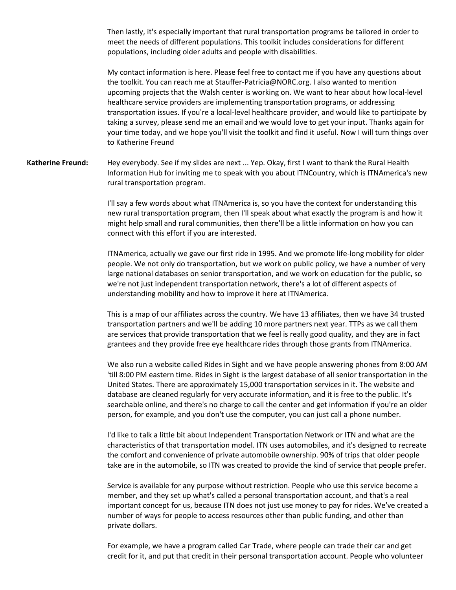Then lastly, it's especially important that rural transportation programs be tailored in order to meet the needs of different populations. This toolkit includes considerations for different populations, including older adults and people with disabilities.

My contact information is here. Please feel free to contact me if you have any questions about the toolkit. You can reach me at Stauffer-Patricia@NORC.org. I also wanted to mention upcoming projects that the Walsh center is working on. We want to hear about how local-level healthcare service providers are implementing transportation programs, or addressing transportation issues. If you're a local-level healthcare provider, and would like to participate by taking a survey, please send me an email and we would love to get your input. Thanks again for your time today, and we hope you'll visit the toolkit and find it useful. Now I will turn things over to Katherine Freund

**Katherine Freund:** Hey everybody. See if my slides are next ... Yep. Okay, first I want to thank the Rural Health Information Hub for inviting me to speak with you about ITNCountry, which is ITNAmerica's new rural transportation program.

> I'll say a few words about what ITNAmerica is, so you have the context for understanding this new rural transportation program, then I'll speak about what exactly the program is and how it might help small and rural communities, then there'll be a little information on how you can connect with this effort if you are interested.

> ITNAmerica, actually we gave our first ride in 1995. And we promote life-long mobility for older people. We not only do transportation, but we work on public policy, we have a number of very large national databases on senior transportation, and we work on education for the public, so we're not just independent transportation network, there's a lot of different aspects of understanding mobility and how to improve it here at ITNAmerica.

> This is a map of our affiliates across the country. We have 13 affiliates, then we have 34 trusted transportation partners and we'll be adding 10 more partners next year. TTPs as we call them are services that provide transportation that we feel is really good quality, and they are in fact grantees and they provide free eye healthcare rides through those grants from ITNAmerica.

> We also run a website called Rides in Sight and we have people answering phones from 8:00 AM 'till 8:00 PM eastern time. Rides in Sight is the largest database of all senior transportation in the United States. There are approximately 15,000 transportation services in it. The website and database are cleaned regularly for very accurate information, and it is free to the public. It's searchable online, and there's no charge to call the center and get information if you're an older person, for example, and you don't use the computer, you can just call a phone number.

> I'd like to talk a little bit about Independent Transportation Network or ITN and what are the characteristics of that transportation model. ITN uses automobiles, and it's designed to recreate the comfort and convenience of private automobile ownership. 90% of trips that older people take are in the automobile, so ITN was created to provide the kind of service that people prefer.

> Service is available for any purpose without restriction. People who use this service become a member, and they set up what's called a personal transportation account, and that's a real important concept for us, because ITN does not just use money to pay for rides. We've created a number of ways for people to access resources other than public funding, and other than private dollars.

For example, we have a program called Car Trade, where people can trade their car and get credit for it, and put that credit in their personal transportation account. People who volunteer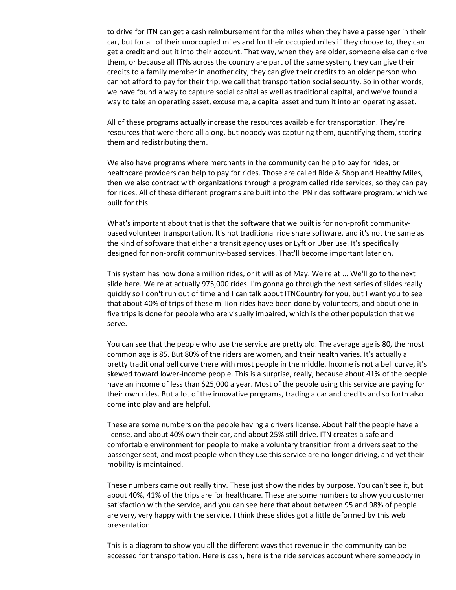to drive for ITN can get a cash reimbursement for the miles when they have a passenger in their car, but for all of their unoccupied miles and for their occupied miles if they choose to, they can get a credit and put it into their account. That way, when they are older, someone else can drive them, or because all ITNs across the country are part of the same system, they can give their credits to a family member in another city, they can give their credits to an older person who cannot afford to pay for their trip, we call that transportation social security. So in other words, we have found a way to capture social capital as well as traditional capital, and we've found a way to take an operating asset, excuse me, a capital asset and turn it into an operating asset.

All of these programs actually increase the resources available for transportation. They're resources that were there all along, but nobody was capturing them, quantifying them, storing them and redistributing them.

We also have programs where merchants in the community can help to pay for rides, or healthcare providers can help to pay for rides. Those are called Ride & Shop and Healthy Miles, then we also contract with organizations through a program called ride services, so they can pay for rides. All of these different programs are built into the IPN rides software program, which we built for this.

What's important about that is that the software that we built is for non-profit communitybased volunteer transportation. It's not traditional ride share software, and it's not the same as the kind of software that either a transit agency uses or Lyft or Uber use. It's specifically designed for non-profit community-based services. That'll become important later on.

This system has now done a million rides, or it will as of May. We're at ... We'll go to the next slide here. We're at actually 975,000 rides. I'm gonna go through the next series of slides really quickly so I don't run out of time and I can talk about ITNCountry for you, but I want you to see that about 40% of trips of these million rides have been done by volunteers, and about one in five trips is done for people who are visually impaired, which is the other population that we serve.

You can see that the people who use the service are pretty old. The average age is 80, the most common age is 85. But 80% of the riders are women, and their health varies. It's actually a pretty traditional bell curve there with most people in the middle. Income is not a bell curve, it's skewed toward lower-income people. This is a surprise, really, because about 41% of the people have an income of less than \$25,000 a year. Most of the people using this service are paying for their own rides. But a lot of the innovative programs, trading a car and credits and so forth also come into play and are helpful.

These are some numbers on the people having a drivers license. About half the people have a license, and about 40% own their car, and about 25% still drive. ITN creates a safe and comfortable environment for people to make a voluntary transition from a drivers seat to the passenger seat, and most people when they use this service are no longer driving, and yet their mobility is maintained.

These numbers came out really tiny. These just show the rides by purpose. You can't see it, but about 40%, 41% of the trips are for healthcare. These are some numbers to show you customer satisfaction with the service, and you can see here that about between 95 and 98% of people are very, very happy with the service. I think these slides got a little deformed by this web presentation.

This is a diagram to show you all the different ways that revenue in the community can be accessed for transportation. Here is cash, here is the ride services account where somebody in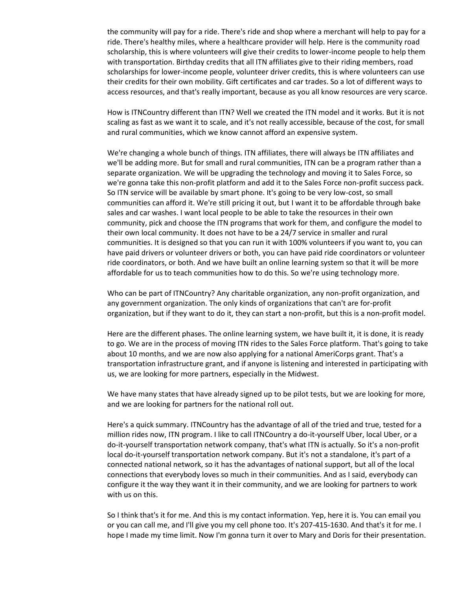the community will pay for a ride. There's ride and shop where a merchant will help to pay for a ride. There's healthy miles, where a healthcare provider will help. Here is the community road scholarship, this is where volunteers will give their credits to lower-income people to help them with transportation. Birthday credits that all ITN affiliates give to their riding members, road scholarships for lower-income people, volunteer driver credits, this is where volunteers can use their credits for their own mobility. Gift certificates and car trades. So a lot of different ways to access resources, and that's really important, because as you all know resources are very scarce.

How is ITNCountry different than ITN? Well we created the ITN model and it works. But it is not scaling as fast as we want it to scale, and it's not really accessible, because of the cost, for small and rural communities, which we know cannot afford an expensive system.

We're changing a whole bunch of things. ITN affiliates, there will always be ITN affiliates and we'll be adding more. But for small and rural communities, ITN can be a program rather than a separate organization. We will be upgrading the technology and moving it to Sales Force, so we're gonna take this non-profit platform and add it to the Sales Force non-profit success pack. So ITN service will be available by smart phone. It's going to be very low-cost, so small communities can afford it. We're still pricing it out, but I want it to be affordable through bake sales and car washes. I want local people to be able to take the resources in their own community, pick and choose the ITN programs that work for them, and configure the model to their own local community. It does not have to be a 24/7 service in smaller and rural communities. It is designed so that you can run it with 100% volunteers if you want to, you can have paid drivers or volunteer drivers or both, you can have paid ride coordinators or volunteer ride coordinators, or both. And we have built an online learning system so that it will be more affordable for us to teach communities how to do this. So we're using technology more.

Who can be part of ITNCountry? Any charitable organization, any non-profit organization, and any government organization. The only kinds of organizations that can't are for-profit organization, but if they want to do it, they can start a non-profit, but this is a non-profit model.

Here are the different phases. The online learning system, we have built it, it is done, it is ready to go. We are in the process of moving ITN rides to the Sales Force platform. That's going to take about 10 months, and we are now also applying for a national AmeriCorps grant. That's a transportation infrastructure grant, and if anyone is listening and interested in participating with us, we are looking for more partners, especially in the Midwest.

We have many states that have already signed up to be pilot tests, but we are looking for more, and we are looking for partners for the national roll out.

Here's a quick summary. ITNCountry has the advantage of all of the tried and true, tested for a million rides now, ITN program. I like to call ITNCountry a do-it-yourself Uber, local Uber, or a do-it-yourself transportation network company, that's what ITN is actually. So it's a non-profit local do-it-yourself transportation network company. But it's not a standalone, it's part of a connected national network, so it has the advantages of national support, but all of the local connections that everybody loves so much in their communities. And as I said, everybody can configure it the way they want it in their community, and we are looking for partners to work with us on this.

So I think that's it for me. And this is my contact information. Yep, here it is. You can email you or you can call me, and I'll give you my cell phone too. It's 207-415-1630. And that's it for me. I hope I made my time limit. Now I'm gonna turn it over to Mary and Doris for their presentation.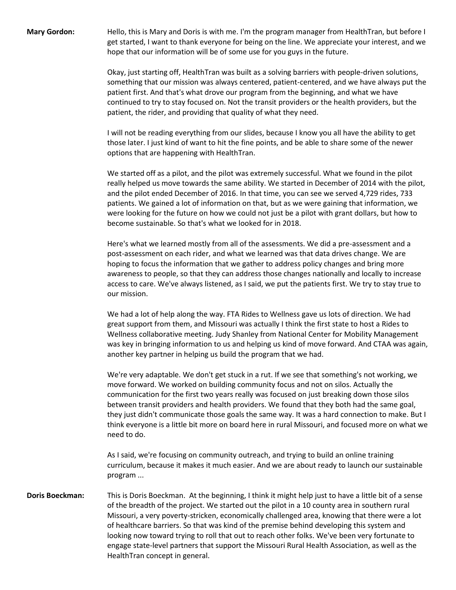**Mary Gordon:** Hello, this is Mary and Doris is with me. I'm the program manager from HealthTran, but before I get started, I want to thank everyone for being on the line. We appreciate your interest, and we hope that our information will be of some use for you guys in the future.

> Okay, just starting off, HealthTran was built as a solving barriers with people-driven solutions, something that our mission was always centered, patient-centered, and we have always put the patient first. And that's what drove our program from the beginning, and what we have continued to try to stay focused on. Not the transit providers or the health providers, but the patient, the rider, and providing that quality of what they need.

I will not be reading everything from our slides, because I know you all have the ability to get those later. I just kind of want to hit the fine points, and be able to share some of the newer options that are happening with HealthTran.

We started off as a pilot, and the pilot was extremely successful. What we found in the pilot really helped us move towards the same ability. We started in December of 2014 with the pilot, and the pilot ended December of 2016. In that time, you can see we served 4,729 rides, 733 patients. We gained a lot of information on that, but as we were gaining that information, we were looking for the future on how we could not just be a pilot with grant dollars, but how to become sustainable. So that's what we looked for in 2018.

Here's what we learned mostly from all of the assessments. We did a pre-assessment and a post-assessment on each rider, and what we learned was that data drives change. We are hoping to focus the information that we gather to address policy changes and bring more awareness to people, so that they can address those changes nationally and locally to increase access to care. We've always listened, as I said, we put the patients first. We try to stay true to our mission.

We had a lot of help along the way. FTA Rides to Wellness gave us lots of direction. We had great support from them, and Missouri was actually I think the first state to host a Rides to Wellness collaborative meeting. Judy Shanley from National Center for Mobility Management was key in bringing information to us and helping us kind of move forward. And CTAA was again, another key partner in helping us build the program that we had.

We're very adaptable. We don't get stuck in a rut. If we see that something's not working, we move forward. We worked on building community focus and not on silos. Actually the communication for the first two years really was focused on just breaking down those silos between transit providers and health providers. We found that they both had the same goal, they just didn't communicate those goals the same way. It was a hard connection to make. But I think everyone is a little bit more on board here in rural Missouri, and focused more on what we need to do.

As I said, we're focusing on community outreach, and trying to build an online training curriculum, because it makes it much easier. And we are about ready to launch our sustainable program ...

**Doris Boeckman:** This is Doris Boeckman. At the beginning, I think it might help just to have a little bit of a sense of the breadth of the project. We started out the pilot in a 10 county area in southern rural Missouri, a very poverty-stricken, economically challenged area, knowing that there were a lot of healthcare barriers. So that was kind of the premise behind developing this system and looking now toward trying to roll that out to reach other folks. We've been very fortunate to engage state-level partners that support the Missouri Rural Health Association, as well as the HealthTran concept in general.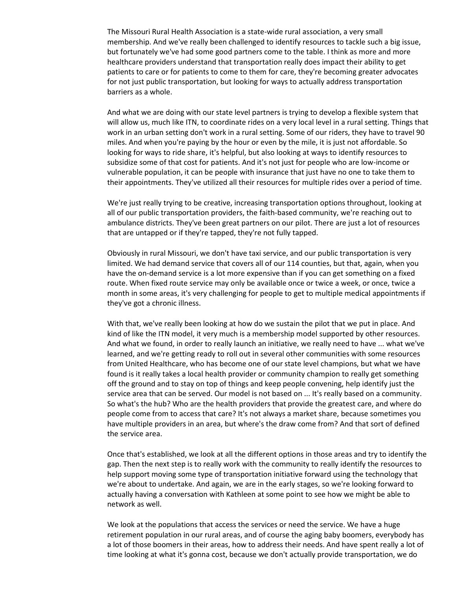The Missouri Rural Health Association is a state-wide rural association, a very small membership. And we've really been challenged to identify resources to tackle such a big issue, but fortunately we've had some good partners come to the table. I think as more and more healthcare providers understand that transportation really does impact their ability to get patients to care or for patients to come to them for care, they're becoming greater advocates for not just public transportation, but looking for ways to actually address transportation barriers as a whole.

And what we are doing with our state level partners is trying to develop a flexible system that will allow us, much like ITN, to coordinate rides on a very local level in a rural setting. Things that work in an urban setting don't work in a rural setting. Some of our riders, they have to travel 90 miles. And when you're paying by the hour or even by the mile, it is just not affordable. So looking for ways to ride share, it's helpful, but also looking at ways to identify resources to subsidize some of that cost for patients. And it's not just for people who are low-income or vulnerable population, it can be people with insurance that just have no one to take them to their appointments. They've utilized all their resources for multiple rides over a period of time.

We're just really trying to be creative, increasing transportation options throughout, looking at all of our public transportation providers, the faith-based community, we're reaching out to ambulance districts. They've been great partners on our pilot. There are just a lot of resources that are untapped or if they're tapped, they're not fully tapped.

Obviously in rural Missouri, we don't have taxi service, and our public transportation is very limited. We had demand service that covers all of our 114 counties, but that, again, when you have the on-demand service is a lot more expensive than if you can get something on a fixed route. When fixed route service may only be available once or twice a week, or once, twice a month in some areas, it's very challenging for people to get to multiple medical appointments if they've got a chronic illness.

With that, we've really been looking at how do we sustain the pilot that we put in place. And kind of like the ITN model, it very much is a membership model supported by other resources. And what we found, in order to really launch an initiative, we really need to have ... what we've learned, and we're getting ready to roll out in several other communities with some resources from United Healthcare, who has become one of our state level champions, but what we have found is it really takes a local health provider or community champion to really get something off the ground and to stay on top of things and keep people convening, help identify just the service area that can be served. Our model is not based on ... It's really based on a community. So what's the hub? Who are the health providers that provide the greatest care, and where do people come from to access that care? It's not always a market share, because sometimes you have multiple providers in an area, but where's the draw come from? And that sort of defined the service area.

Once that's established, we look at all the different options in those areas and try to identify the gap. Then the next step is to really work with the community to really identify the resources to help support moving some type of transportation initiative forward using the technology that we're about to undertake. And again, we are in the early stages, so we're looking forward to actually having a conversation with Kathleen at some point to see how we might be able to network as well.

We look at the populations that access the services or need the service. We have a huge retirement population in our rural areas, and of course the aging baby boomers, everybody has a lot of those boomers in their areas, how to address their needs. And have spent really a lot of time looking at what it's gonna cost, because we don't actually provide transportation, we do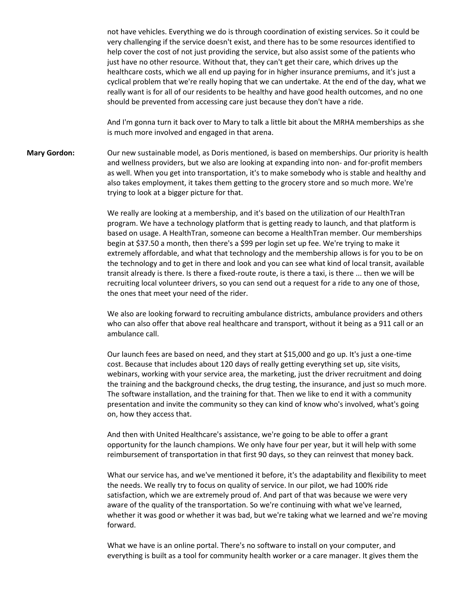not have vehicles. Everything we do is through coordination of existing services. So it could be very challenging if the service doesn't exist, and there has to be some resources identified to help cover the cost of not just providing the service, but also assist some of the patients who just have no other resource. Without that, they can't get their care, which drives up the healthcare costs, which we all end up paying for in higher insurance premiums, and it's just a cyclical problem that we're really hoping that we can undertake. At the end of the day, what we really want is for all of our residents to be healthy and have good health outcomes, and no one should be prevented from accessing care just because they don't have a ride.

And I'm gonna turn it back over to Mary to talk a little bit about the MRHA memberships as she is much more involved and engaged in that arena.

**Mary Gordon:** Our new sustainable model, as Doris mentioned, is based on memberships. Our priority is health and wellness providers, but we also are looking at expanding into non- and for-profit members as well. When you get into transportation, it's to make somebody who is stable and healthy and also takes employment, it takes them getting to the grocery store and so much more. We're trying to look at a bigger picture for that.

> We really are looking at a membership, and it's based on the utilization of our HealthTran program. We have a technology platform that is getting ready to launch, and that platform is based on usage. A HealthTran, someone can become a HealthTran member. Our memberships begin at \$37.50 a month, then there's a \$99 per login set up fee. We're trying to make it extremely affordable, and what that technology and the membership allows is for you to be on the technology and to get in there and look and you can see what kind of local transit, available transit already is there. Is there a fixed-route route, is there a taxi, is there ... then we will be recruiting local volunteer drivers, so you can send out a request for a ride to any one of those, the ones that meet your need of the rider.

> We also are looking forward to recruiting ambulance districts, ambulance providers and others who can also offer that above real healthcare and transport, without it being as a 911 call or an ambulance call.

Our launch fees are based on need, and they start at \$15,000 and go up. It's just a one-time cost. Because that includes about 120 days of really getting everything set up, site visits, webinars, working with your service area, the marketing, just the driver recruitment and doing the training and the background checks, the drug testing, the insurance, and just so much more. The software installation, and the training for that. Then we like to end it with a community presentation and invite the community so they can kind of know who's involved, what's going on, how they access that.

And then with United Healthcare's assistance, we're going to be able to offer a grant opportunity for the launch champions. We only have four per year, but it will help with some reimbursement of transportation in that first 90 days, so they can reinvest that money back.

What our service has, and we've mentioned it before, it's the adaptability and flexibility to meet the needs. We really try to focus on quality of service. In our pilot, we had 100% ride satisfaction, which we are extremely proud of. And part of that was because we were very aware of the quality of the transportation. So we're continuing with what we've learned, whether it was good or whether it was bad, but we're taking what we learned and we're moving forward.

What we have is an online portal. There's no software to install on your computer, and everything is built as a tool for community health worker or a care manager. It gives them the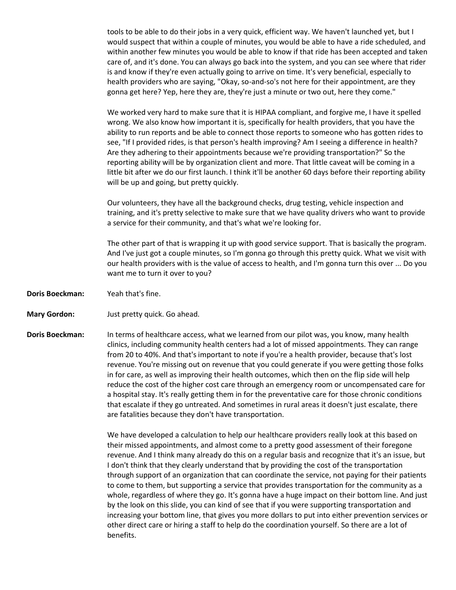tools to be able to do their jobs in a very quick, efficient way. We haven't launched yet, but I would suspect that within a couple of minutes, you would be able to have a ride scheduled, and within another few minutes you would be able to know if that ride has been accepted and taken care of, and it's done. You can always go back into the system, and you can see where that rider is and know if they're even actually going to arrive on time. It's very beneficial, especially to health providers who are saying, "Okay, so-and-so's not here for their appointment, are they gonna get here? Yep, here they are, they're just a minute or two out, here they come."

We worked very hard to make sure that it is HIPAA compliant, and forgive me, I have it spelled wrong. We also know how important it is, specifically for health providers, that you have the ability to run reports and be able to connect those reports to someone who has gotten rides to see, "If I provided rides, is that person's health improving? Am I seeing a difference in health? Are they adhering to their appointments because we're providing transportation?" So the reporting ability will be by organization client and more. That little caveat will be coming in a little bit after we do our first launch. I think it'll be another 60 days before their reporting ability will be up and going, but pretty quickly.

Our volunteers, they have all the background checks, drug testing, vehicle inspection and training, and it's pretty selective to make sure that we have quality drivers who want to provide a service for their community, and that's what we're looking for.

The other part of that is wrapping it up with good service support. That is basically the program. And I've just got a couple minutes, so I'm gonna go through this pretty quick. What we visit with our health providers with is the value of access to health, and I'm gonna turn this over ... Do you want me to turn it over to you?

- **Doris Boeckman:** Yeah that's fine.
- **Mary Gordon:** Just pretty quick. Go ahead.
- **Doris Boeckman:** In terms of healthcare access, what we learned from our pilot was, you know, many health clinics, including community health centers had a lot of missed appointments. They can range from 20 to 40%. And that's important to note if you're a health provider, because that's lost revenue. You're missing out on revenue that you could generate if you were getting those folks in for care, as well as improving their health outcomes, which then on the flip side will help reduce the cost of the higher cost care through an emergency room or uncompensated care for a hospital stay. It's really getting them in for the preventative care for those chronic conditions that escalate if they go untreated. And sometimes in rural areas it doesn't just escalate, there are fatalities because they don't have transportation.

We have developed a calculation to help our healthcare providers really look at this based on their missed appointments, and almost come to a pretty good assessment of their foregone revenue. And I think many already do this on a regular basis and recognize that it's an issue, but I don't think that they clearly understand that by providing the cost of the transportation through support of an organization that can coordinate the service, not paying for their patients to come to them, but supporting a service that provides transportation for the community as a whole, regardless of where they go. It's gonna have a huge impact on their bottom line. And just by the look on this slide, you can kind of see that if you were supporting transportation and increasing your bottom line, that gives you more dollars to put into either prevention services or other direct care or hiring a staff to help do the coordination yourself. So there are a lot of benefits.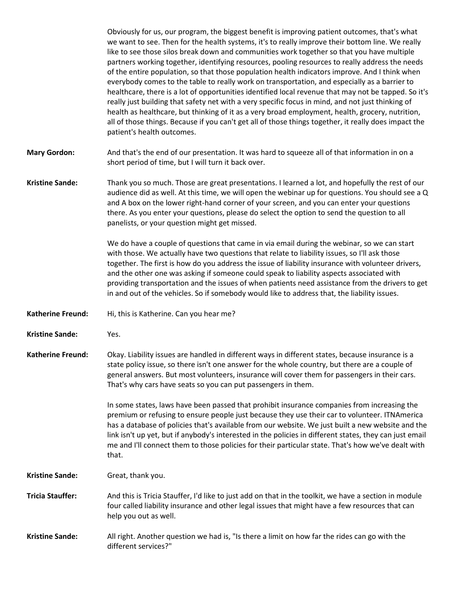Obviously for us, our program, the biggest benefit is improving patient outcomes, that's what we want to see. Then for the health systems, it's to really improve their bottom line. We really like to see those silos break down and communities work together so that you have multiple partners working together, identifying resources, pooling resources to really address the needs of the entire population, so that those population health indicators improve. And I think when everybody comes to the table to really work on transportation, and especially as a barrier to healthcare, there is a lot of opportunities identified local revenue that may not be tapped. So it's really just building that safety net with a very specific focus in mind, and not just thinking of health as healthcare, but thinking of it as a very broad employment, health, grocery, nutrition, all of those things. Because if you can't get all of those things together, it really does impact the patient's health outcomes.

**Mary Gordon:** And that's the end of our presentation. It was hard to squeeze all of that information in on a short period of time, but I will turn it back over.

**Kristine Sande:** Thank you so much. Those are great presentations. I learned a lot, and hopefully the rest of our audience did as well. At this time, we will open the webinar up for questions. You should see a Q and A box on the lower right-hand corner of your screen, and you can enter your questions there. As you enter your questions, please do select the option to send the question to all panelists, or your question might get missed.

> We do have a couple of questions that came in via email during the webinar, so we can start with those. We actually have two questions that relate to liability issues, so I'll ask those together. The first is how do you address the issue of liability insurance with volunteer drivers, and the other one was asking if someone could speak to liability aspects associated with providing transportation and the issues of when patients need assistance from the drivers to get in and out of the vehicles. So if somebody would like to address that, the liability issues.

- **Katherine Freund:** Hi, this is Katherine. Can you hear me?
- **Kristine Sande:** Yes.
- **Katherine Freund:** Okay. Liability issues are handled in different ways in different states, because insurance is a state policy issue, so there isn't one answer for the whole country, but there are a couple of general answers. But most volunteers, insurance will cover them for passengers in their cars. That's why cars have seats so you can put passengers in them.

In some states, laws have been passed that prohibit insurance companies from increasing the premium or refusing to ensure people just because they use their car to volunteer. ITNAmerica has a database of policies that's available from our website. We just built a new website and the link isn't up yet, but if anybody's interested in the policies in different states, they can just email me and I'll connect them to those policies for their particular state. That's how we've dealt with that.

- **Kristine Sande:** Great, thank you.
- **Tricia Stauffer:** And this is Tricia Stauffer, I'd like to just add on that in the toolkit, we have a section in module four called liability insurance and other legal issues that might have a few resources that can help you out as well.
- **Kristine Sande:** All right. Another question we had is, "Is there a limit on how far the rides can go with the different services?"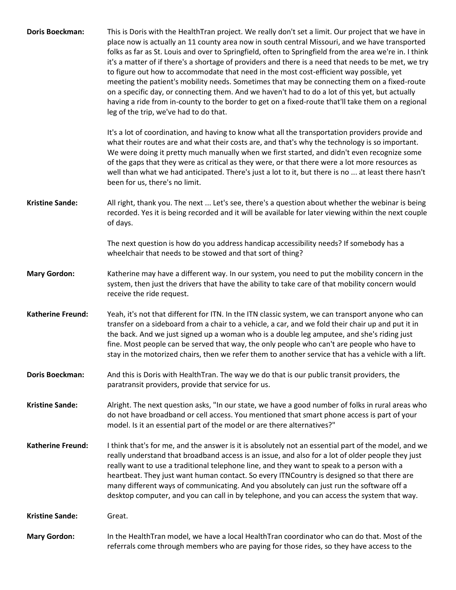| <b>Doris Boeckman:</b>   | This is Doris with the HealthTran project. We really don't set a limit. Our project that we have in<br>place now is actually an 11 county area now in south central Missouri, and we have transported<br>folks as far as St. Louis and over to Springfield, often to Springfield from the area we're in. I think<br>it's a matter of if there's a shortage of providers and there is a need that needs to be met, we try<br>to figure out how to accommodate that need in the most cost-efficient way possible, yet<br>meeting the patient's mobility needs. Sometimes that may be connecting them on a fixed-route<br>on a specific day, or connecting them. And we haven't had to do a lot of this yet, but actually<br>having a ride from in-county to the border to get on a fixed-route that'll take them on a regional<br>leg of the trip, we've had to do that. |
|--------------------------|------------------------------------------------------------------------------------------------------------------------------------------------------------------------------------------------------------------------------------------------------------------------------------------------------------------------------------------------------------------------------------------------------------------------------------------------------------------------------------------------------------------------------------------------------------------------------------------------------------------------------------------------------------------------------------------------------------------------------------------------------------------------------------------------------------------------------------------------------------------------|
|                          | It's a lot of coordination, and having to know what all the transportation providers provide and<br>what their routes are and what their costs are, and that's why the technology is so important.<br>We were doing it pretty much manually when we first started, and didn't even recognize some<br>of the gaps that they were as critical as they were, or that there were a lot more resources as<br>well than what we had anticipated. There's just a lot to it, but there is no  at least there hasn't<br>been for us, there's no limit.                                                                                                                                                                                                                                                                                                                          |
| <b>Kristine Sande:</b>   | All right, thank you. The next  Let's see, there's a question about whether the webinar is being<br>recorded. Yes it is being recorded and it will be available for later viewing within the next couple<br>of days.                                                                                                                                                                                                                                                                                                                                                                                                                                                                                                                                                                                                                                                   |
|                          | The next question is how do you address handicap accessibility needs? If somebody has a<br>wheelchair that needs to be stowed and that sort of thing?                                                                                                                                                                                                                                                                                                                                                                                                                                                                                                                                                                                                                                                                                                                  |
| <b>Mary Gordon:</b>      | Katherine may have a different way. In our system, you need to put the mobility concern in the<br>system, then just the drivers that have the ability to take care of that mobility concern would<br>receive the ride request.                                                                                                                                                                                                                                                                                                                                                                                                                                                                                                                                                                                                                                         |
| <b>Katherine Freund:</b> | Yeah, it's not that different for ITN. In the ITN classic system, we can transport anyone who can<br>transfer on a sideboard from a chair to a vehicle, a car, and we fold their chair up and put it in<br>the back. And we just signed up a woman who is a double leg amputee, and she's riding just<br>fine. Most people can be served that way, the only people who can't are people who have to<br>stay in the motorized chairs, then we refer them to another service that has a vehicle with a lift.                                                                                                                                                                                                                                                                                                                                                             |
| <b>Doris Boeckman:</b>   | And this is Doris with HealthTran. The way we do that is our public transit providers, the<br>paratransit providers, provide that service for us.                                                                                                                                                                                                                                                                                                                                                                                                                                                                                                                                                                                                                                                                                                                      |
| <b>Kristine Sande:</b>   | Alright. The next question asks, "In our state, we have a good number of folks in rural areas who<br>do not have broadband or cell access. You mentioned that smart phone access is part of your<br>model. Is it an essential part of the model or are there alternatives?"                                                                                                                                                                                                                                                                                                                                                                                                                                                                                                                                                                                            |
| <b>Katherine Freund:</b> | I think that's for me, and the answer is it is absolutely not an essential part of the model, and we<br>really understand that broadband access is an issue, and also for a lot of older people they just<br>really want to use a traditional telephone line, and they want to speak to a person with a<br>heartbeat. They just want human contact. So every ITNCountry is designed so that there are<br>many different ways of communicating. And you absolutely can just run the software off a<br>desktop computer, and you can call in by telephone, and you can access the system that way.                                                                                                                                                                                                                                                                       |
| <b>Kristine Sande:</b>   | Great.                                                                                                                                                                                                                                                                                                                                                                                                                                                                                                                                                                                                                                                                                                                                                                                                                                                                 |
| <b>Mary Gordon:</b>      | In the HealthTran model, we have a local HealthTran coordinator who can do that. Most of the<br>referrals come through members who are paying for those rides, so they have access to the                                                                                                                                                                                                                                                                                                                                                                                                                                                                                                                                                                                                                                                                              |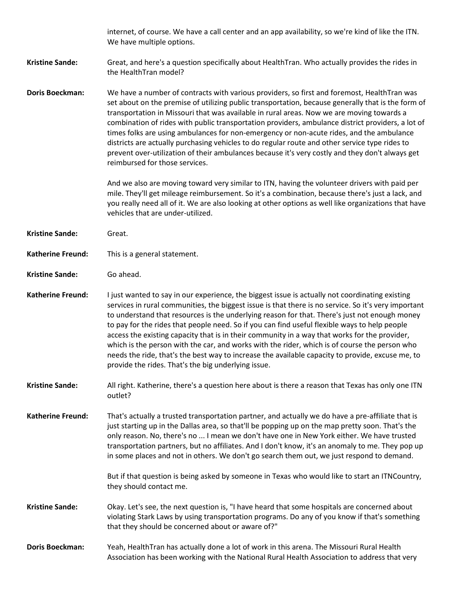|                          | internet, of course. We have a call center and an app availability, so we're kind of like the ITN.<br>We have multiple options.                                                                                                                                                                                                                                                                                                                                                                                                                                                                                                                                                                                                                                        |
|--------------------------|------------------------------------------------------------------------------------------------------------------------------------------------------------------------------------------------------------------------------------------------------------------------------------------------------------------------------------------------------------------------------------------------------------------------------------------------------------------------------------------------------------------------------------------------------------------------------------------------------------------------------------------------------------------------------------------------------------------------------------------------------------------------|
| <b>Kristine Sande:</b>   | Great, and here's a question specifically about HealthTran. Who actually provides the rides in<br>the HealthTran model?                                                                                                                                                                                                                                                                                                                                                                                                                                                                                                                                                                                                                                                |
| <b>Doris Boeckman:</b>   | We have a number of contracts with various providers, so first and foremost, HealthTran was<br>set about on the premise of utilizing public transportation, because generally that is the form of<br>transportation in Missouri that was available in rural areas. Now we are moving towards a<br>combination of rides with public transportation providers, ambulance district providers, a lot of<br>times folks are using ambulances for non-emergency or non-acute rides, and the ambulance<br>districts are actually purchasing vehicles to do regular route and other service type rides to<br>prevent over-utilization of their ambulances because it's very costly and they don't always get<br>reimbursed for those services.                                 |
|                          | And we also are moving toward very similar to ITN, having the volunteer drivers with paid per<br>mile. They'll get mileage reimbursement. So it's a combination, because there's just a lack, and<br>you really need all of it. We are also looking at other options as well like organizations that have<br>vehicles that are under-utilized.                                                                                                                                                                                                                                                                                                                                                                                                                         |
| <b>Kristine Sande:</b>   | Great.                                                                                                                                                                                                                                                                                                                                                                                                                                                                                                                                                                                                                                                                                                                                                                 |
| <b>Katherine Freund:</b> | This is a general statement.                                                                                                                                                                                                                                                                                                                                                                                                                                                                                                                                                                                                                                                                                                                                           |
| <b>Kristine Sande:</b>   | Go ahead.                                                                                                                                                                                                                                                                                                                                                                                                                                                                                                                                                                                                                                                                                                                                                              |
| <b>Katherine Freund:</b> | I just wanted to say in our experience, the biggest issue is actually not coordinating existing<br>services in rural communities, the biggest issue is that there is no service. So it's very important<br>to understand that resources is the underlying reason for that. There's just not enough money<br>to pay for the rides that people need. So if you can find useful flexible ways to help people<br>access the existing capacity that is in their community in a way that works for the provider,<br>which is the person with the car, and works with the rider, which is of course the person who<br>needs the ride, that's the best way to increase the available capacity to provide, excuse me, to<br>provide the rides. That's the big underlying issue. |
| <b>Kristine Sande:</b>   | All right. Katherine, there's a question here about is there a reason that Texas has only one ITN<br>outlet?                                                                                                                                                                                                                                                                                                                                                                                                                                                                                                                                                                                                                                                           |
| <b>Katherine Freund:</b> | That's actually a trusted transportation partner, and actually we do have a pre-affiliate that is<br>just starting up in the Dallas area, so that'll be popping up on the map pretty soon. That's the<br>only reason. No, there's no  I mean we don't have one in New York either. We have trusted<br>transportation partners, but no affiliates. And I don't know, it's an anomaly to me. They pop up<br>in some places and not in others. We don't go search them out, we just respond to demand.                                                                                                                                                                                                                                                                    |
|                          | But if that question is being asked by someone in Texas who would like to start an ITNCountry,<br>they should contact me.                                                                                                                                                                                                                                                                                                                                                                                                                                                                                                                                                                                                                                              |
| <b>Kristine Sande:</b>   | Okay. Let's see, the next question is, "I have heard that some hospitals are concerned about<br>violating Stark Laws by using transportation programs. Do any of you know if that's something<br>that they should be concerned about or aware of?"                                                                                                                                                                                                                                                                                                                                                                                                                                                                                                                     |
| <b>Doris Boeckman:</b>   | Yeah, HealthTran has actually done a lot of work in this arena. The Missouri Rural Health<br>Association has been working with the National Rural Health Association to address that very                                                                                                                                                                                                                                                                                                                                                                                                                                                                                                                                                                              |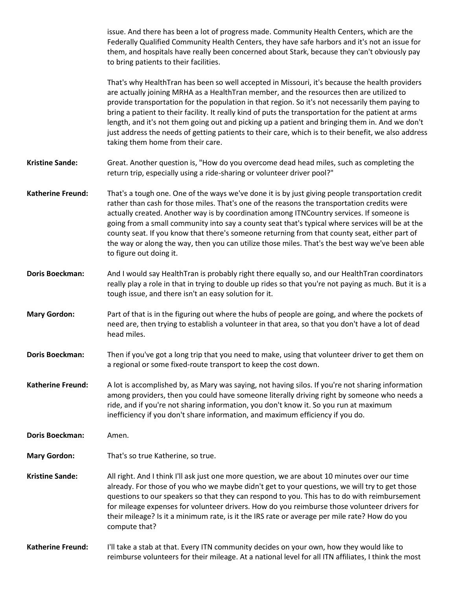issue. And there has been a lot of progress made. Community Health Centers, which are the Federally Qualified Community Health Centers, they have safe harbors and it's not an issue for them, and hospitals have really been concerned about Stark, because they can't obviously pay to bring patients to their facilities.

That's why HealthTran has been so well accepted in Missouri, it's because the health providers are actually joining MRHA as a HealthTran member, and the resources then are utilized to provide transportation for the population in that region. So it's not necessarily them paying to bring a patient to their facility. It really kind of puts the transportation for the patient at arms length, and it's not them going out and picking up a patient and bringing them in. And we don't just address the needs of getting patients to their care, which is to their benefit, we also address taking them home from their care.

**Kristine Sande:** Great. Another question is, "How do you overcome dead head miles, such as completing the return trip, especially using a ride-sharing or volunteer driver pool?"

- **Katherine Freund:** That's a tough one. One of the ways we've done it is by just giving people transportation credit rather than cash for those miles. That's one of the reasons the transportation credits were actually created. Another way is by coordination among ITNCountry services. If someone is going from a small community into say a county seat that's typical where services will be at the county seat. If you know that there's someone returning from that county seat, either part of the way or along the way, then you can utilize those miles. That's the best way we've been able to figure out doing it.
- **Doris Boeckman:** And I would say HealthTran is probably right there equally so, and our HealthTran coordinators really play a role in that in trying to double up rides so that you're not paying as much. But it is a tough issue, and there isn't an easy solution for it.
- **Mary Gordon:** Part of that is in the figuring out where the hubs of people are going, and where the pockets of need are, then trying to establish a volunteer in that area, so that you don't have a lot of dead head miles.
- **Doris Boeckman:** Then if you've got a long trip that you need to make, using that volunteer driver to get them on a regional or some fixed-route transport to keep the cost down.
- **Katherine Freund:** A lot is accomplished by, as Mary was saying, not having silos. If you're not sharing information among providers, then you could have someone literally driving right by someone who needs a ride, and if you're not sharing information, you don't know it. So you run at maximum inefficiency if you don't share information, and maximum efficiency if you do.
- **Doris Boeckman:** Amen.
- **Mary Gordon:** That's so true Katherine, so true.
- **Kristine Sande:** All right. And I think I'll ask just one more question, we are about 10 minutes over our time already. For those of you who we maybe didn't get to your questions, we will try to get those questions to our speakers so that they can respond to you. This has to do with reimbursement for mileage expenses for volunteer drivers. How do you reimburse those volunteer drivers for their mileage? Is it a minimum rate, is it the IRS rate or average per mile rate? How do you compute that?

**Katherine Freund:** I'll take a stab at that. Every ITN community decides on your own, how they would like to reimburse volunteers for their mileage. At a national level for all ITN affiliates, I think the most